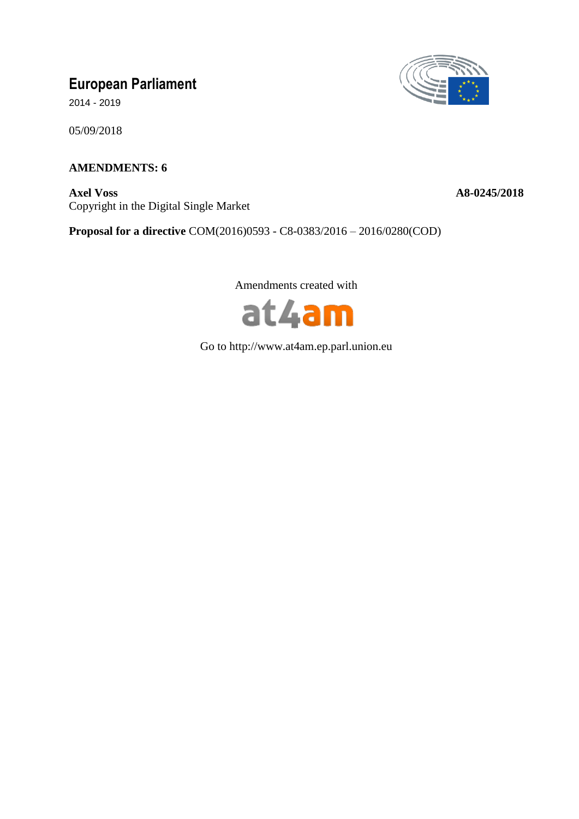# **European Parliament**

2014 - 2019

05/09/2018

# **AMENDMENTS: 6**

**Axel Voss A8-0245/2018** Copyright in the Digital Single Market



**Proposal for a directive** COM(2016)0593 - C8-0383/2016 – 2016/0280(COD)

Amendments created with



Go to http://www.at4am.ep.parl.union.eu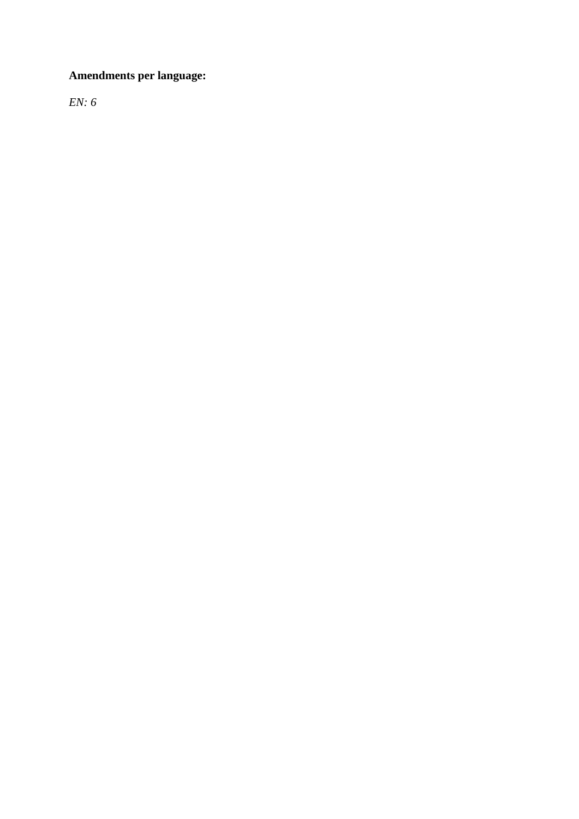# **Amendments per language:**

*EN: 6*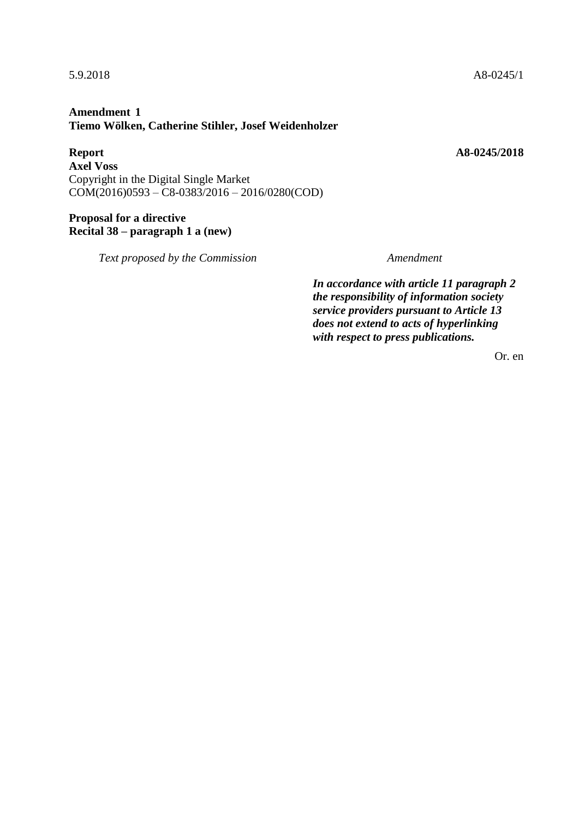# **Amendment 1 Tiemo Wölken, Catherine Stihler, Josef Weidenholzer**

**Report A8-0245/2018 Axel Voss** Copyright in the Digital Single Market COM(2016)0593 – C8-0383/2016 – 2016/0280(COD)

# **Proposal for a directive Recital 38 – paragraph 1 a (new)**

*Text proposed by the Commission Amendment*

*In accordance with article 11 paragraph 2 the responsibility of information society service providers pursuant to Article 13 does not extend to acts of hyperlinking with respect to press publications.*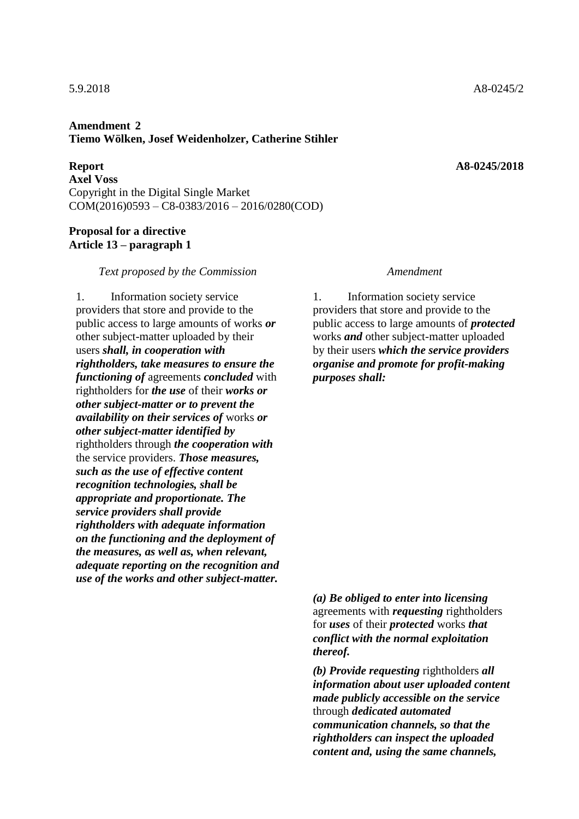### **Amendment 2 Tiemo Wölken, Josef Weidenholzer, Catherine Stihler**

**Report A8-0245/2018 Axel Voss** Copyright in the Digital Single Market COM(2016)0593 – C8-0383/2016 – 2016/0280(COD)

### **Proposal for a directive Article 13 – paragraph 1**

### *Text proposed by the Commission Amendment*

1. Information society service providers that store and provide to the public access to large amounts of works *or* other subject-matter uploaded by their users *shall, in cooperation with rightholders, take measures to ensure the functioning of* agreements *concluded* with rightholders for *the use* of their *works or other subject-matter or to prevent the availability on their services of* works *or other subject-matter identified by* rightholders through *the cooperation with* the service providers. *Those measures, such as the use of effective content recognition technologies, shall be appropriate and proportionate. The service providers shall provide rightholders with adequate information on the functioning and the deployment of the measures, as well as, when relevant, adequate reporting on the recognition and use of the works and other subject-matter.*

1. Information society service providers that store and provide to the public access to large amounts of *protected* works *and* other subject-matter uploaded by their users *which the service providers organise and promote for profit-making purposes shall:*

*(a) Be obliged to enter into licensing* agreements with *requesting* rightholders for *uses* of their *protected* works *that conflict with the normal exploitation thereof.*

*(b) Provide requesting* rightholders *all information about user uploaded content made publicly accessible on the service* through *dedicated automated communication channels, so that the rightholders can inspect the uploaded content and, using the same channels,*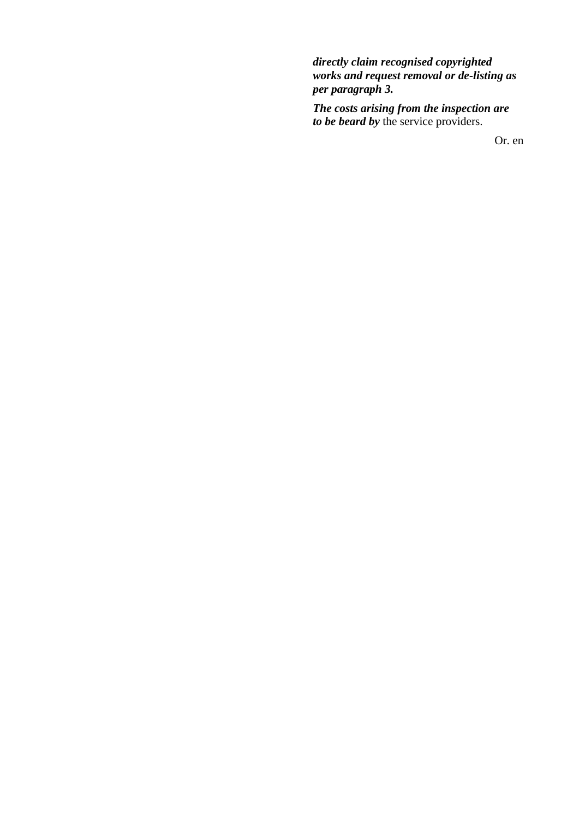*directly claim recognised copyrighted works and request removal or de-listing as per paragraph 3.*

*The costs arising from the inspection are to be beard by* the service providers.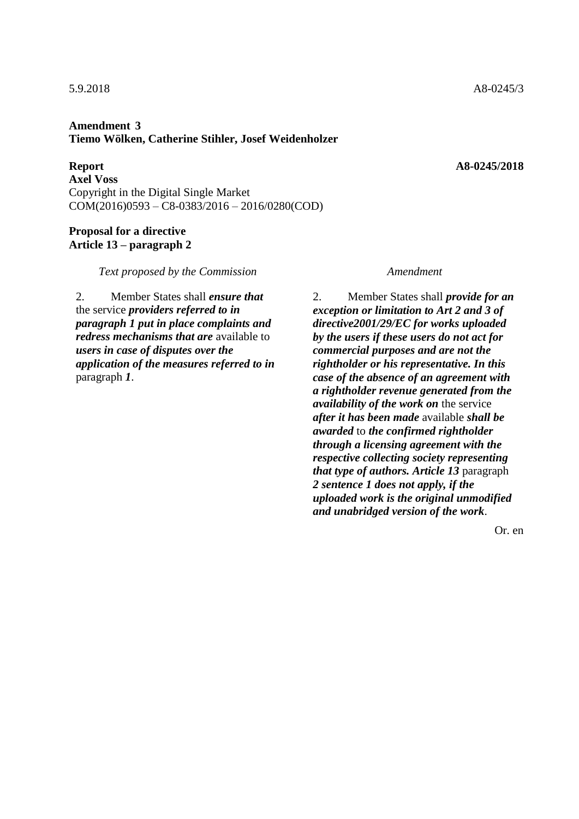### **Amendment 3 Tiemo Wölken, Catherine Stihler, Josef Weidenholzer**

**Report A8-0245/2018 Axel Voss** Copyright in the Digital Single Market COM(2016)0593 – C8-0383/2016 – 2016/0280(COD)

### **Proposal for a directive Article 13 – paragraph 2**

*Text proposed by the Commission Amendment*

2. Member States shall *ensure that* the service *providers referred to in paragraph 1 put in place complaints and redress mechanisms that are* available to *users in case of disputes over the application of the measures referred to in* paragraph *1*.

2. Member States shall *provide for an exception or limitation to Art 2 and 3 of directive2001/29/EC for works uploaded by the users if these users do not act for commercial purposes and are not the rightholder or his representative. In this case of the absence of an agreement with a rightholder revenue generated from the availability of the work on* the service *after it has been made* available *shall be awarded* to *the confirmed rightholder through a licensing agreement with the respective collecting society representing that type of authors. Article 13* paragraph *2 sentence 1 does not apply, if the uploaded work is the original unmodified and unabridged version of the work*.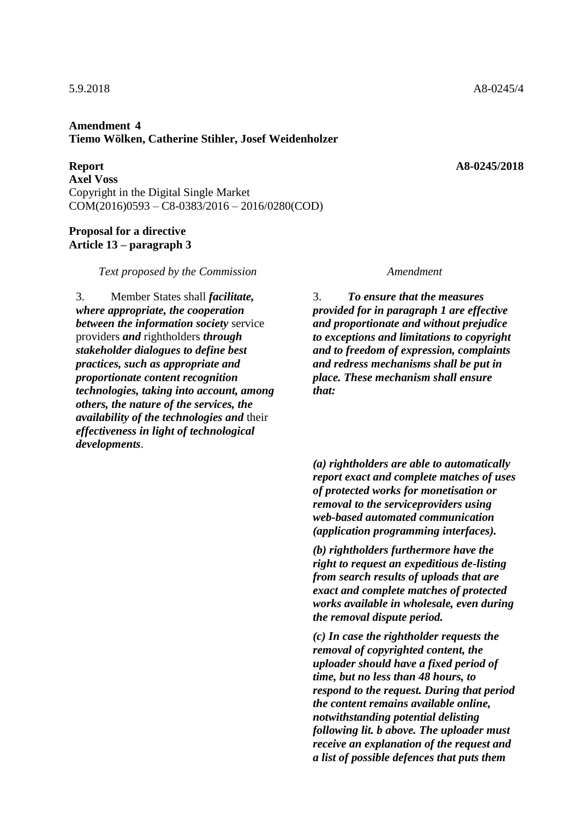### **Amendment 4 Tiemo Wölken, Catherine Stihler, Josef Weidenholzer**

**Report A8-0245/2018 Axel Voss** Copyright in the Digital Single Market COM(2016)0593 – C8-0383/2016 – 2016/0280(COD)

### **Proposal for a directive Article 13 – paragraph 3**

*Text proposed by the Commission Amendment*

3. Member States shall *facilitate, where appropriate, the cooperation between the information society* service providers *and* rightholders *through stakeholder dialogues to define best practices, such as appropriate and proportionate content recognition technologies, taking into account, among others, the nature of the services, the availability of the technologies and* their *effectiveness in light of technological developments*.

3. *To ensure that the measures provided for in paragraph 1 are effective and proportionate and without prejudice to exceptions and limitations to copyright and to freedom of expression, complaints and redress mechanisms shall be put in place. These mechanism shall ensure that:*

*(a) rightholders are able to automatically report exact and complete matches of uses of protected works for monetisation or removal to the serviceproviders using web-based automated communication (application programming interfaces).*

*(b) rightholders furthermore have the right to request an expeditious de-listing from search results of uploads that are exact and complete matches of protected works available in wholesale, even during the removal dispute period.*

*(c) In case the rightholder requests the removal of copyrighted content, the uploader should have a fixed period of time, but no less than 48 hours, to respond to the request. During that period the content remains available online, notwithstanding potential delisting following lit. b above. The uploader must receive an explanation of the request and a list of possible defences that puts them*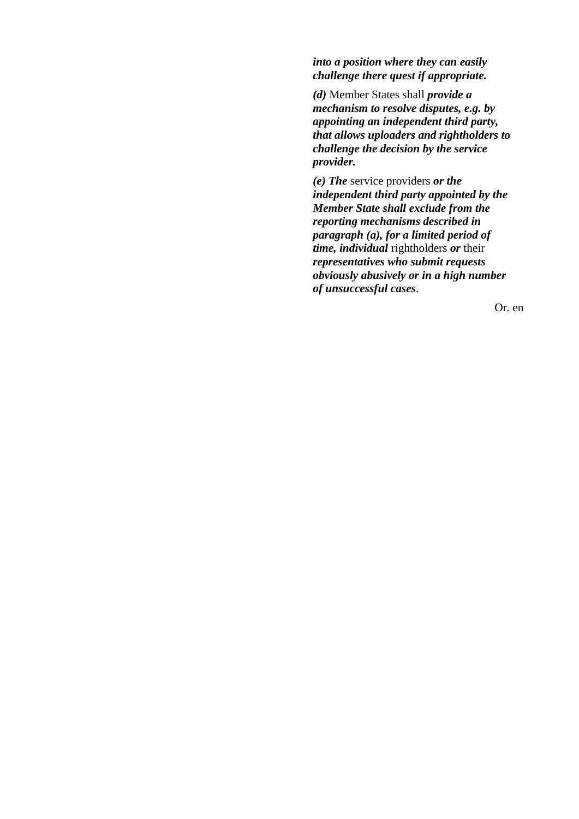*into a position where they can easily challenge there quest if appropriate.*

*(d)* Member States shall *provide a mechanism to resolve disputes, e.g. by appointing an independent third party, that allows uploaders and rightholders to challenge the decision by the service provider.*

*(e) The* service providers *or the independent third party appointed by the Member State shall exclude from the reporting mechanisms described in paragraph (a), for a limited period of time, individual* rightholders *or* their *representatives who submit requests obviously abusively or in a high number of unsuccessful cases*.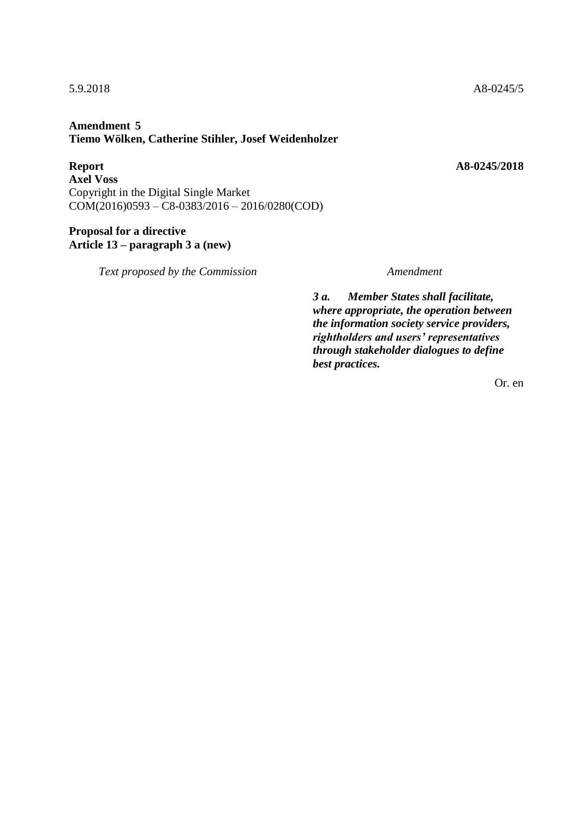# **Amendment 5 Tiemo Wölken, Catherine Stihler, Josef Weidenholzer**

**Report A8-0245/2018 Axel Voss** Copyright in the Digital Single Market COM(2016)0593 – C8-0383/2016 – 2016/0280(COD)

# **Proposal for a directive Article 13 – paragraph 3 a (new)**

*Text proposed by the Commission Amendment*

*3 a. Member States shall facilitate, where appropriate, the operation between the information society service providers, rightholders and users' representatives through stakeholder dialogues to define best practices.*